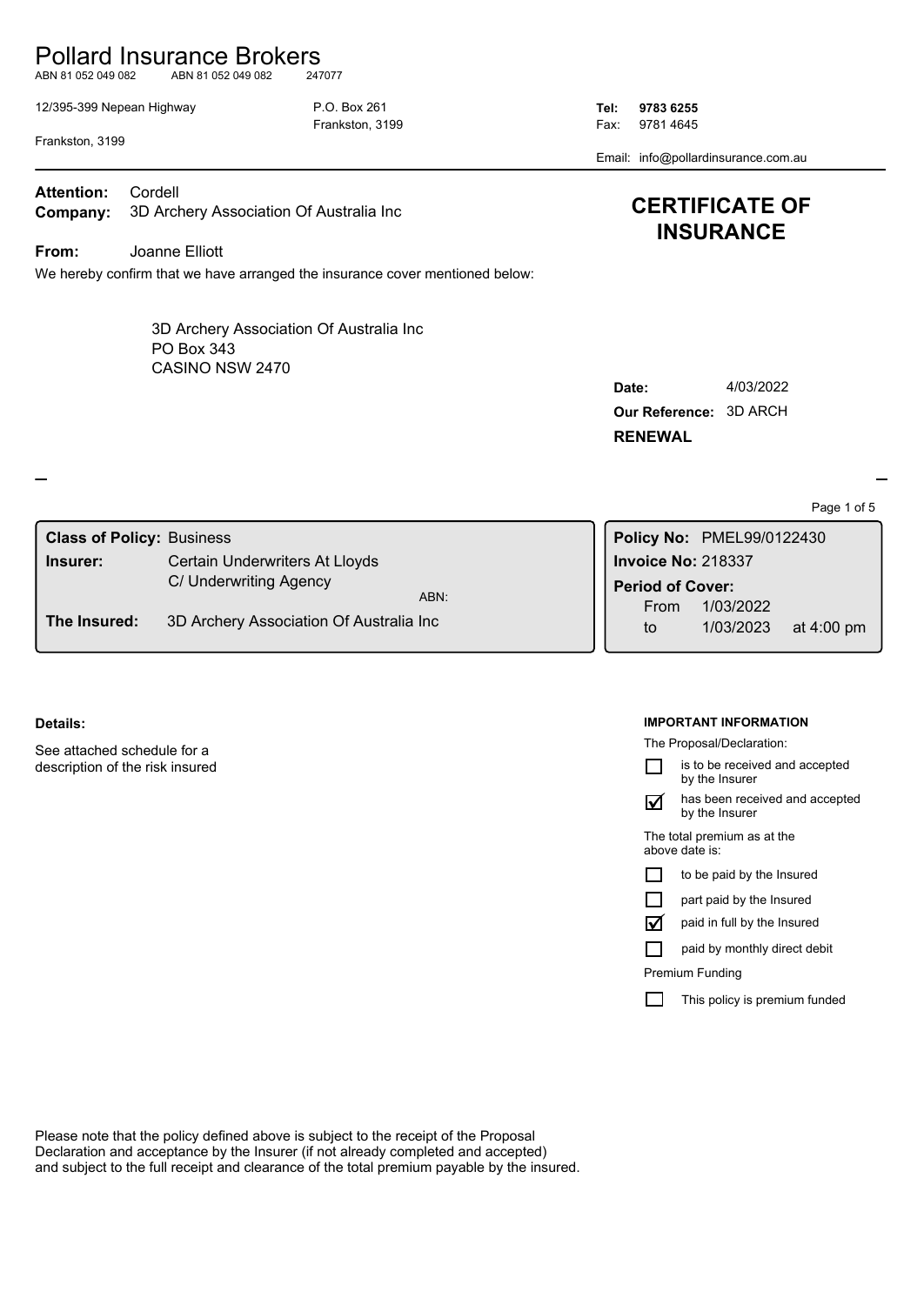# Pollard Insurance Brokers

ABN 81 052 049 082 ABN 81 052 049 082 247077

12/395-399 Nepean Highway P.O. Box 261 **Tel: 9783 6255**

Frankston, 3199 **Fax: 9781 4645** 

Email: info@pollardinsurance.com.au

Frankston, 3199

**Company:** 3D Archery Association Of Australia Inc **Attention:** Cordell

**From:** Joanne Elliott

We hereby confirm that we have arranged the insurance cover mentioned below:

CASINO NSW 2470 3D Archery Association Of Australia Inc PO Box 343

| <b>CERTIFICATE OF</b> |
|-----------------------|
| <b>INSURANCE</b>      |

| Date:                  | 4/03/2022 |
|------------------------|-----------|
| Our Reference: 3D ARCH |           |
| <b>RENEWAL</b>         |           |

Page 1 of 5

| <b>Class of Policy: Business</b> |                                         |                    | Policy No: PMEL99/0122430 |                      |
|----------------------------------|-----------------------------------------|--------------------|---------------------------|----------------------|
| Insurer:                         | Certain Underwriters At Lloyds          | Invoice No: 218337 |                           |                      |
|                                  | C/ Underwriting Agency<br>ABN:          | Period of Cover:   |                           |                      |
| The Insured:                     | 3D Archery Association Of Australia Inc | From<br>to         | 1/03/2022<br>1/03/2023    | at $4:00 \text{ pm}$ |

#### **Details:**

See attached schedule for a description of the risk insured

#### **IMPORTANT INFORMATION**

The Proposal/Declaration:

is to be received and accepted П by the Insurer

has been received and accepted by the Insurer  $\triangledown$ 

The total premium as at the above date is:

|  | to be paid by the Insured |
|--|---------------------------|
|--|---------------------------|

paid in full by the Insured  $\triangledown$ 

paid by monthly direct debit П

Premium Funding

 $\Box$ This policy is premium funded

Please note that the policy defined above is subject to the receipt of the Proposal Declaration and acceptance by the Insurer (if not already completed and accepted) and subject to the full receipt and clearance of the total premium payable by the insured.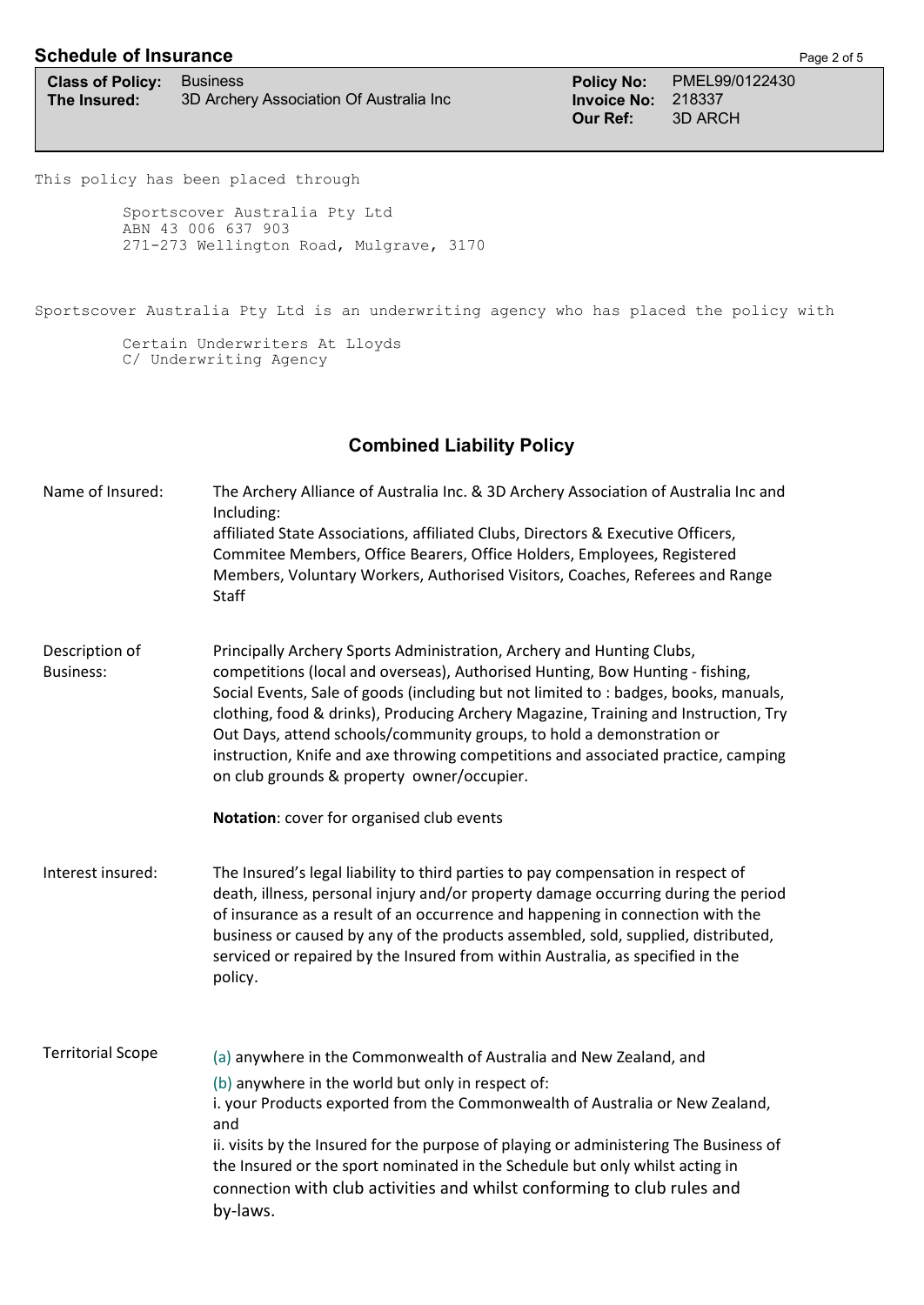## **Schedule of Insurance Page 2 of 5**

| <b>Class of Policy:</b> Business |                                         |
|----------------------------------|-----------------------------------------|
| The Insured:                     | 3D Archery Association Of Australia Inc |

**Class of Policy:** Business **Policy No:** PMEL99/0122430 **The Invoice No: 218337**<br> **Our Ref: 3D ARC Our Ref:** 3D ARCH

This policy has been placed through

Sportscover Australia Pty Ltd ABN 43 006 637 903 271-273 Wellington Road, Mulgrave, 3170

Sportscover Australia Pty Ltd is an underwriting agency who has placed the policy with

Certain Underwriters At Lloyds C/ Underwriting Agency

## **Combined Liability Policy**

| Name of Insured:                   | The Archery Alliance of Australia Inc. & 3D Archery Association of Australia Inc and<br>Including:<br>affiliated State Associations, affiliated Clubs, Directors & Executive Officers,<br>Commitee Members, Office Bearers, Office Holders, Employees, Registered<br>Members, Voluntary Workers, Authorised Visitors, Coaches, Referees and Range<br>Staff                                                                                                                                                                                                                                     |
|------------------------------------|------------------------------------------------------------------------------------------------------------------------------------------------------------------------------------------------------------------------------------------------------------------------------------------------------------------------------------------------------------------------------------------------------------------------------------------------------------------------------------------------------------------------------------------------------------------------------------------------|
| Description of<br><b>Business:</b> | Principally Archery Sports Administration, Archery and Hunting Clubs,<br>competitions (local and overseas), Authorised Hunting, Bow Hunting - fishing,<br>Social Events, Sale of goods (including but not limited to : badges, books, manuals,<br>clothing, food & drinks), Producing Archery Magazine, Training and Instruction, Try<br>Out Days, attend schools/community groups, to hold a demonstration or<br>instruction, Knife and axe throwing competitions and associated practice, camping<br>on club grounds & property owner/occupier.<br>Notation: cover for organised club events |
| Interest insured:                  | The Insured's legal liability to third parties to pay compensation in respect of<br>death, illness, personal injury and/or property damage occurring during the period<br>of insurance as a result of an occurrence and happening in connection with the<br>business or caused by any of the products assembled, sold, supplied, distributed,<br>serviced or repaired by the Insured from within Australia, as specified in the<br>policy.                                                                                                                                                     |
| <b>Territorial Scope</b>           | (a) anywhere in the Commonwealth of Australia and New Zealand, and<br>(b) anywhere in the world but only in respect of:<br>i. your Products exported from the Commonwealth of Australia or New Zealand,<br>and<br>ii. visits by the Insured for the purpose of playing or administering The Business of<br>the Insured or the sport nominated in the Schedule but only whilst acting in<br>connection with club activities and whilst conforming to club rules and<br>by-laws.                                                                                                                 |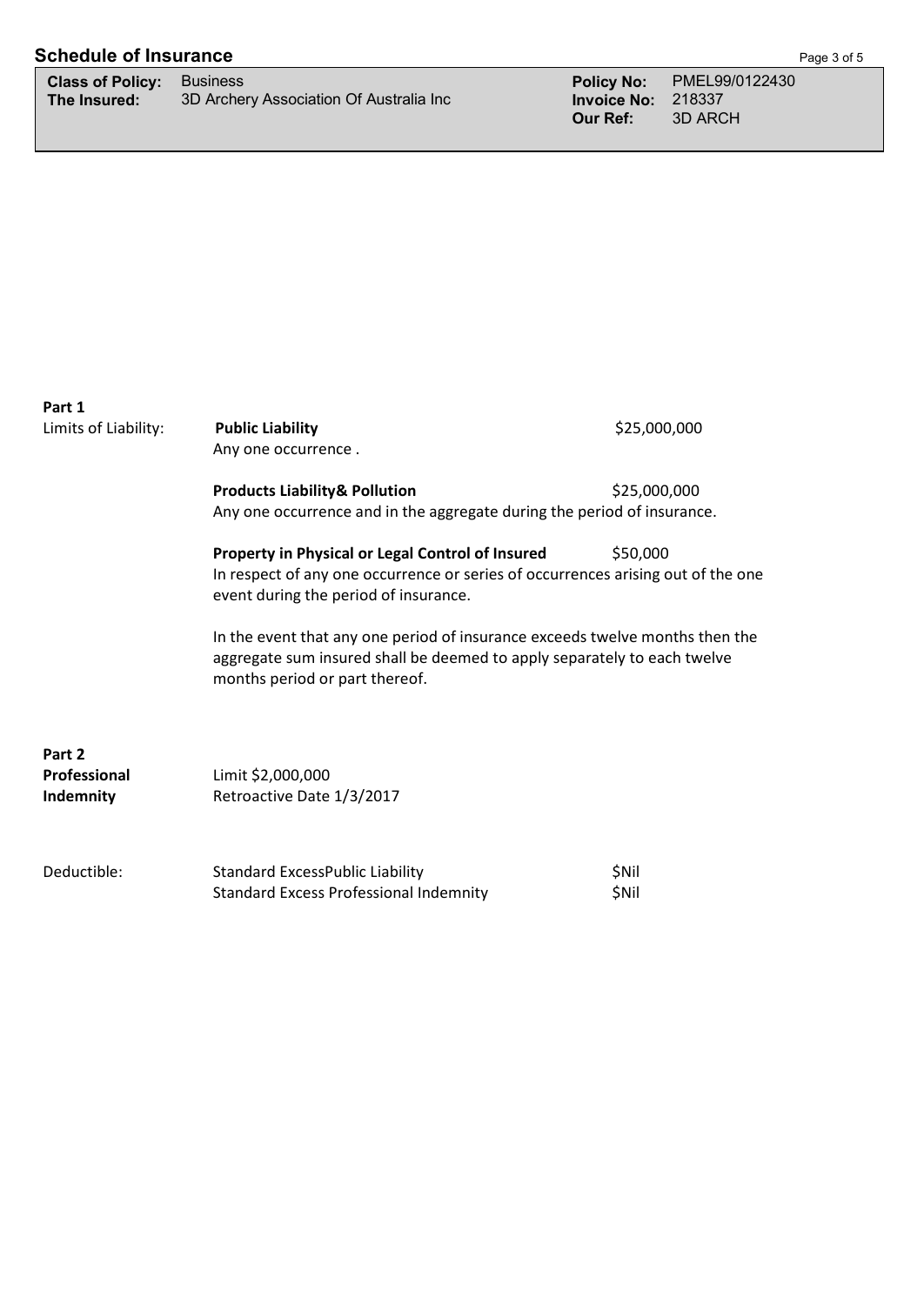# **Schedule of Insurance** Page 1 of 5

| <b>Class of Policy: Business</b> |                                         |
|----------------------------------|-----------------------------------------|
| The Insured:                     | 3D Archery Association Of Australia Inc |

| Part 1<br>Limits of Liability:      | <b>Public Liability</b><br>Any one occurrence.                                                                                                                                             | \$25,000,000   |
|-------------------------------------|--------------------------------------------------------------------------------------------------------------------------------------------------------------------------------------------|----------------|
|                                     | <b>Products Liability&amp; Pollution</b><br>Any one occurrence and in the aggregate during the period of insurance.                                                                        | \$25,000,000   |
|                                     | Property in Physical or Legal Control of Insured<br>In respect of any one occurrence or series of occurrences arising out of the one<br>event during the period of insurance.              | \$50,000       |
|                                     | In the event that any one period of insurance exceeds twelve months then the<br>aggregate sum insured shall be deemed to apply separately to each twelve<br>months period or part thereof. |                |
| Part 2<br>Professional<br>Indemnity | Limit \$2,000,000<br>Retroactive Date 1/3/2017                                                                                                                                             |                |
| Deductible:                         | <b>Standard ExcessPublic Liability</b><br><b>Standard Excess Professional Indemnity</b>                                                                                                    | \$Nil<br>\$Nil |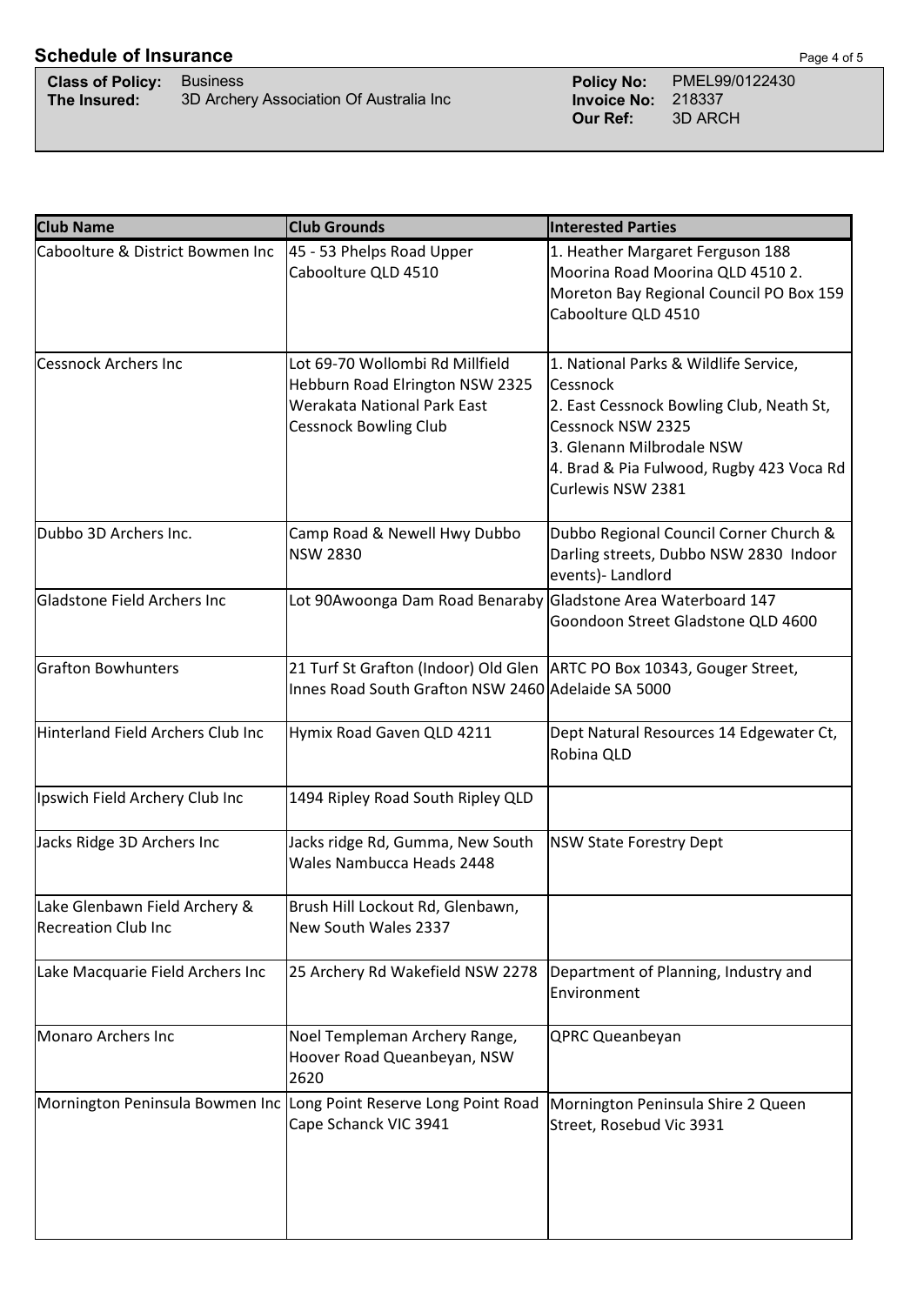# **Schedule of Insurance** Page 4 of 5

| <b>Class of Policy:</b> Business |                                         |
|----------------------------------|-----------------------------------------|
| The Insured:                     | 3D Archery Association Of Australia Inc |

**Class of Policy:** Business **Policy No:** PMEL99/0122430 **The Insured:** 3D Policy No:<br>
3D Archers<br>
3D Archers<br>
3D Archers<br>
3D Archers<br>
3D Archers<br>
3D Archers<br>
3D Archers<br>
3D Archers<br>
3D Archers<br>
3D Archers<br>
3D Archers<br>
3D Archers<br>
3D Archers<br>
3D Archers<br>
3D Archers<br>
3D Archers **Our Ref:** 3D ARCH

| <b>Club Name</b>                                            | <b>Club Grounds</b>                                                                                                               | <b>Interested Parties</b>                                                                                                                                                                                        |  |
|-------------------------------------------------------------|-----------------------------------------------------------------------------------------------------------------------------------|------------------------------------------------------------------------------------------------------------------------------------------------------------------------------------------------------------------|--|
| Caboolture & District Bowmen Inc                            | 45 - 53 Phelps Road Upper<br>Caboolture QLD 4510                                                                                  | 1. Heather Margaret Ferguson 188<br>Moorina Road Moorina QLD 4510 2.<br>Moreton Bay Regional Council PO Box 159<br>Caboolture QLD 4510                                                                           |  |
| <b>Cessnock Archers Inc</b>                                 | Lot 69-70 Wollombi Rd Millfield<br>Hebburn Road Elrington NSW 2325<br>Werakata National Park East<br><b>Cessnock Bowling Club</b> | 1. National Parks & Wildlife Service,<br>Cessnock<br>2. East Cessnock Bowling Club, Neath St,<br>Cessnock NSW 2325<br>3. Glenann Milbrodale NSW<br>4. Brad & Pia Fulwood, Rugby 423 Voca Rd<br>Curlewis NSW 2381 |  |
| Dubbo 3D Archers Inc.                                       | Camp Road & Newell Hwy Dubbo<br><b>NSW 2830</b>                                                                                   | Dubbo Regional Council Corner Church &<br>Darling streets, Dubbo NSW 2830 Indoor<br>events)- Landlord                                                                                                            |  |
| Gladstone Field Archers Inc                                 | Lot 90Awoonga Dam Road Benaraby Gladstone Area Waterboard 147                                                                     | Goondoon Street Gladstone QLD 4600                                                                                                                                                                               |  |
| <b>Grafton Bowhunters</b>                                   | 21 Turf St Grafton (Indoor) Old Glen   ARTC PO Box 10343, Gouger Street,<br>Innes Road South Grafton NSW 2460 Adelaide SA 5000    |                                                                                                                                                                                                                  |  |
| Hinterland Field Archers Club Inc                           | Hymix Road Gaven QLD 4211                                                                                                         | Dept Natural Resources 14 Edgewater Ct,<br>Robina QLD                                                                                                                                                            |  |
| Ipswich Field Archery Club Inc                              | 1494 Ripley Road South Ripley QLD                                                                                                 |                                                                                                                                                                                                                  |  |
| Jacks Ridge 3D Archers Inc                                  | Jacks ridge Rd, Gumma, New South<br>Wales Nambucca Heads 2448                                                                     | <b>NSW State Forestry Dept</b>                                                                                                                                                                                   |  |
| Lake Glenbawn Field Archery &<br><b>Recreation Club Inc</b> | Brush Hill Lockout Rd, Glenbawn,<br>New South Wales 2337                                                                          |                                                                                                                                                                                                                  |  |
| Lake Macquarie Field Archers Inc                            | 25 Archery Rd Wakefield NSW 2278                                                                                                  | Department of Planning, Industry and<br>Environment                                                                                                                                                              |  |
| Monaro Archers Inc                                          | Noel Templeman Archery Range,<br>Hoover Road Queanbeyan, NSW<br>2620                                                              | <b>QPRC Queanbeyan</b>                                                                                                                                                                                           |  |
|                                                             | Mornington Peninsula Bowmen Inc Long Point Reserve Long Point Road<br>Cape Schanck VIC 3941                                       | Mornington Peninsula Shire 2 Queen<br>Street, Rosebud Vic 3931                                                                                                                                                   |  |